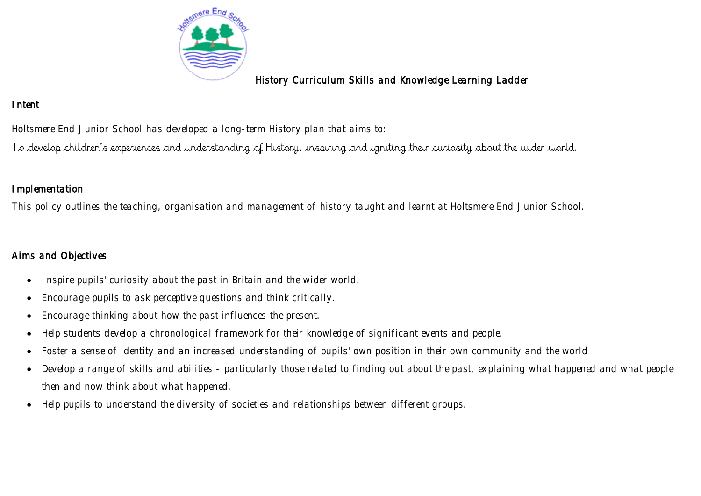

# History Curriculum Skills and Knowledge Learning Ladder

# Intent

Holtsmere End Junior School has developed a long-term History plan that aims to:

To develop children's experiences and understanding of History, inspiring and igniting their curiosity about the wider world.

### **Implementation**

This policy outlines the teaching, organisation and management of history taught and learnt at Holtsmere End Junior School.

## Aims and Objectives

- Inspire pupils' curiosity about the past in Britain and the wider world.
- Encourage pupils to ask perceptive questions and think critically.
- Encourage thinking about how the past influences the present.
- Help students develop a chronological framework for their knowledge of significant events and people.
- Foster a sense of identity and an increased understanding of pupils' own position in their own community and the world
- Develop a range of skills and abilities particularly those related to finding out about the past, explaining what happened and what people then and now think about what happened.
- Help pupils to understand the diversity of societies and relationships between different groups.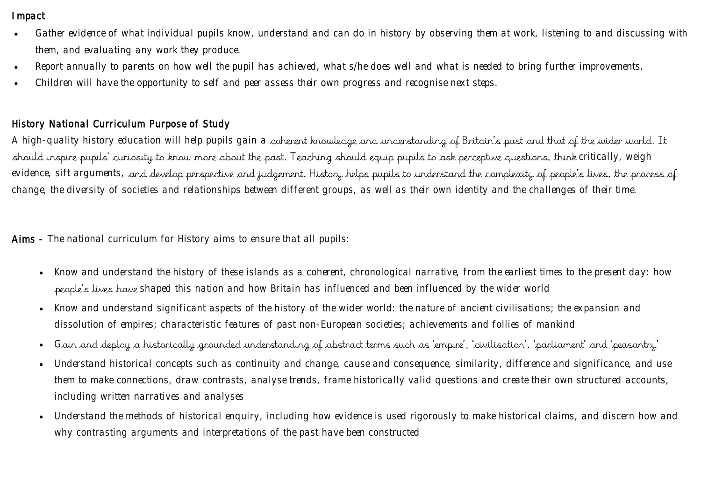#### **I**mpact

- Gather evidence of what individual pupils know, understand and can do in history by observing them at work, listening to and discussing with them, and evaluating any work they produce.
- Report annually to parents on how well the pupil has achieved, what s/he does well and what is needed to bring further improvements.
- Children will have the opportunity to self and peer assess their own progress and recognise next steps.

### History National Curriculum Purpose of Study

A high-quality history education will help pupils gain a coherent knowledge and understanding of Britain's past and that of the wider world. It should inspire pupils' curiosity to know more about the past. Teaching should equip pupils to ask perceptive questions, think critically, weigh evidence, sift arguments, and develop perspective and judgement. History helps pupils to understand the complexity of people's lives, the process of change, the diversity of societies and relationships between different groups, as well as their own identity and the challenges of their time.

Aims - The national curriculum for History aims to ensure that all pupils:

- Know and understand the history of these islands as a coherent, chronological narrative, from the earliest times to the present day: how people's lives have shaped this nation and how Britain has influenced and been influenced by the wider world
- Know and understand significant aspects of the history of the wider world: the nature of ancient civilisations; the expansion and dissolution of empires; characteristic features of past non-European societies; achievements and follies of mankind
- Gain and deploy a historically grounded understanding of abstract terms such as 'empire', 'civilisation', 'parliament' and 'peasantry'
- Understand historical concepts such as continuity and change, cause and consequence, similarity, difference and significance, and use them to make connections, draw contrasts, analyse trends, frame historically valid questions and create their own structured accounts, including written narratives and analyses
- Understand the methods of historical enquiry, including how evidence is used rigorously to make historical claims, and discern how and why contrasting arguments and interpretations of the past have been constructed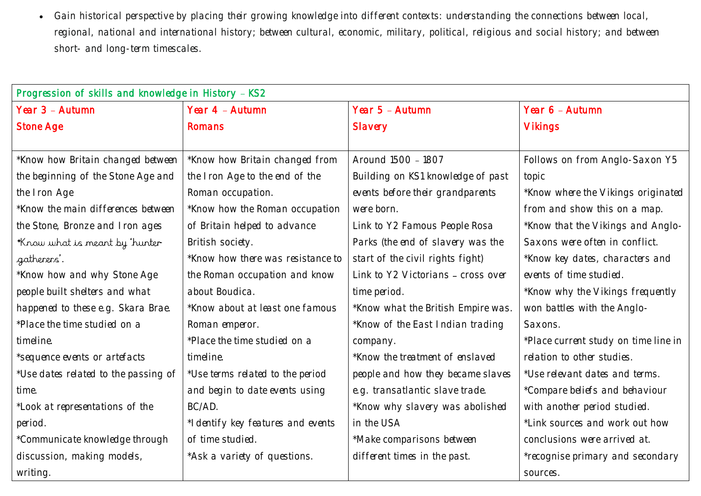• Gain historical perspective by placing their growing knowledge into different contexts: understanding the connections between local, regional, national and international history; between cultural, economic, military, political, religious and social history; and between short- and long-term timescales.

| Progression of skills and knowledge in History - KS2 |                                    |                                    |                                      |  |  |
|------------------------------------------------------|------------------------------------|------------------------------------|--------------------------------------|--|--|
| Year 3 - Autumn                                      | Year 4 - Autumn                    | Year 5 - Autumn                    | Year 6 - Autumn                      |  |  |
| <b>Stone Age</b>                                     | <b>Romans</b>                      | <b>Slavery</b>                     | <b>Vikings</b>                       |  |  |
|                                                      |                                    |                                    |                                      |  |  |
| *Know how Britain changed between                    | *Know how Britain changed from     | Around 1500 - 1807                 | Follows on from Anglo-Saxon Y5       |  |  |
| the beginning of the Stone Age and                   | the Iron Age to the end of the     | Building on KS1 knowledge of past  | topic                                |  |  |
| the Iron Age                                         | Roman occupation.                  | events before their grandparents   | *Know where the Vikings originated   |  |  |
| *Know the main differences between                   | *Know how the Roman occupation     | were born.                         | from and show this on a map.         |  |  |
| the Stone, Bronze and Iron ages                      | of Britain helped to advance       | Link to Y2 Famous People Rosa      | *Know that the Vikings and Anglo-    |  |  |
| *Know what is meant by 'hunter-                      | British society.                   | Parks (the end of slavery was the  | Saxons were often in conflict.       |  |  |
| gatherers'.                                          | *Know how there was resistance to  | start of the civil rights fight)   | *Know key dates, characters and      |  |  |
| *Know how and why Stone Age                          | the Roman occupation and know      | Link to Y2 Victorians - cross over | events of time studied.              |  |  |
| people built shelters and what                       | about Boudica.                     | time period.                       | *Know why the Vikings frequently     |  |  |
| happened to these e.g. Skara Brae.                   | *Know about at least one famous    | *Know what the British Empire was. | won battles with the Anglo-          |  |  |
| *Place the time studied on a                         | Roman emperor.                     | *Know of the East Indian trading   | Saxons.                              |  |  |
| timeline.                                            | *Place the time studied on a       | company.                           | *Place current study on time line in |  |  |
| *sequence events or artefacts                        | timeline.                          | *Know the treatment of enslaved    | relation to other studies.           |  |  |
| *Use dates related to the passing of                 | *Use terms related to the period   | people and how they became slaves  | *Use relevant dates and terms.       |  |  |
| time.                                                | and begin to date events using     | e.g. transatlantic slave trade.    | *Compare beliefs and behaviour       |  |  |
| *Look at representations of the                      | BC/AD.                             | *Know why slavery was abolished    | with another period studied.         |  |  |
| period.                                              | *I dentify key features and events | in the USA                         | *Link sources and work out how       |  |  |
| *Communicate knowledge through                       | of time studied.                   | *Make comparisons between          | conclusions were arrived at.         |  |  |
| discussion, making models,                           | *Ask a variety of questions.       | different times in the past.       | *recognise primary and secondary     |  |  |
| writing.                                             |                                    |                                    | sources.                             |  |  |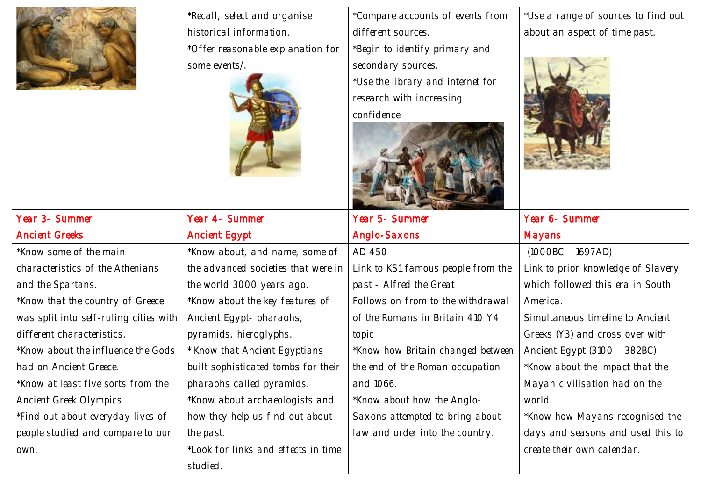

Year 3- Summer

and the Spartans.

\*Know some of the main

characteristics of the Athenians

\*Know that the country of Greece

was split into self-ruling cities with

Ancient Greeks

\*Recall, select and organise historical information. \*Offer reasonable explanation for some events/.



\*Know about, and name, some of the advanced societies that were in

\*Know about the key features of

the world 3000 years ago.

Ancient Egypt- pharaohs,

Year 4- Summer

Ancient Egypt

studied.

\*Compare accounts of events from different sources.

\*Begin to identify primary and secondary sources.

\*Use the library and internet for research with increasing confidence.



Year 5- Summer Anglo-Saxons AD 450 Link to KS1 famous people from the past - Alfred the Great Follows on from to the withdrawal of the Romans in Britain 410 Y4 topic

\*Know how Britain changed betwee the end of the Roman occupation and 1066.

\*Know about how the Anglo-Saxons attempted to bring about law and order into the country.

\*Use a range of sources to find out about an aspect of time past.



|    | Year 6- Summer                          |
|----|-----------------------------------------|
|    | Mayans                                  |
|    | $(1000BC - 1697AD)$                     |
| le | Link to prior knowledge of Slavery      |
|    | which followed this era in South        |
| I  | America.                                |
|    | <b>Simultaneous timeline to Ancient</b> |
|    | Greeks (Y3) and cross over with         |
| 9Ŋ | Ancient Egypt (3100 - 382BC)            |
|    | *Know about the impact that the         |
|    | Mayan civilisation had on the           |
|    | world.                                  |
|    | *Know how Mayans recognised the         |
|    | days and seasons and used this to       |

create their own calendar.

different characteristics. \*Know about the influence the Gods had on Ancient Greece. \*Know at least five sorts from the Ancient Greek Olympics \*Find out about everyday lives of people studied and compare to our own. pyramids, hieroglyphs. \* Know that Ancient Egyptians built sophisticated tombs for their pharaohs called pyramids. \*Know about archaeologists and how they help us find out about the past. \*Look for links and effects in time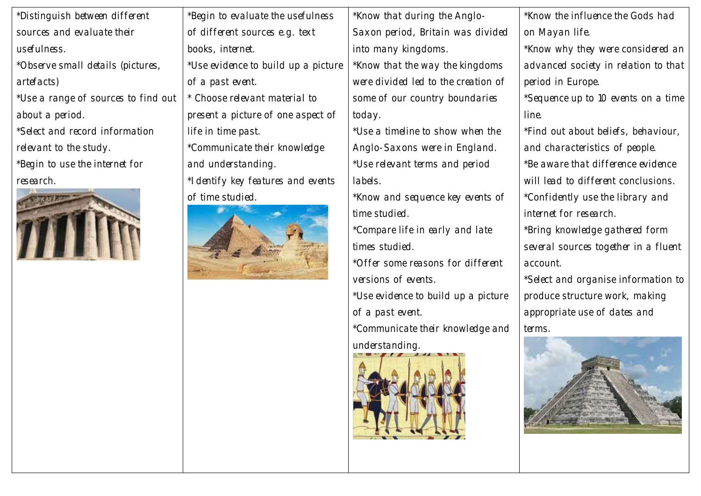|                                     |                                     | *Know the influence the Gods had     |
|-------------------------------------|-------------------------------------|--------------------------------------|
| of different sources e.g. text      | Saxon period, Britain was divided   | on Mayan life.                       |
| books, internet.                    | into many kingdoms.                 | *Know why they were considered an    |
| *Use evidence to build up a picture | *Know that the way the kingdoms     | advanced society in relation to that |
| of a past event.                    | were divided led to the creation of | period in Europe.                    |
| * Choose relevant material to       | some of our country boundaries      | *Sequence up to 10 events on a time  |
| present a picture of one aspect of  | today.                              | line.                                |
| life in time past.                  | *Use a timeline to show when the    | *Find out about beliefs, behaviour,  |
| *Communicate their knowledge        | Anglo-Saxons were in England.       | and characteristics of people.       |
| and understanding.                  | *Use relevant terms and period      | *Be aware that difference evidence   |
| *I dentify key features and events  | labels.                             | will lead to different conclusions.  |
| of time studied.                    | *Know and sequence key events of    | *Confidently use the library and     |
|                                     | time studied.                       | internet for research.               |
|                                     | *Compare life in early and late     | *Bring knowledge gathered form       |
|                                     | times studied.                      | several sources together in a fluent |
|                                     | *Offer some reasons for different   | account.                             |
|                                     | versions of events.                 | *Select and organise information to  |
|                                     | *Use evidence to build up a picture | produce structure work, making       |
|                                     | of a past event.                    | appropriate use of dates and         |
|                                     | *Communicate their knowledge and    | terms.                               |
|                                     | understanding.                      |                                      |
|                                     |                                     |                                      |
|                                     | *Begin to evaluate the usefulness   | *Know that during the Anglo-         |